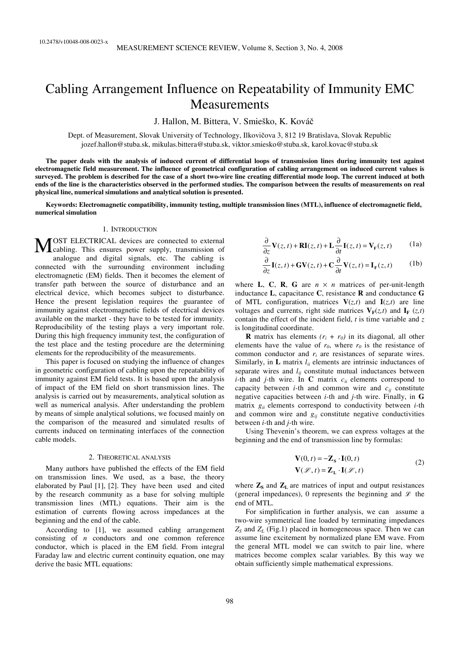# Cabling Arrangement Influence on Repeatability of Immunity EMC Measurements

J. Hallon, M. Bittera, V. Smieško, K. Kováč

Dept. of Measurement, Slovak University of Technology, Ilkovičova 3, 812 19 Bratislava, Slovak Republic jozef.hallon@stuba.sk, mikulas.bittera@stuba.sk, viktor.smiesko@stuba.sk, karol.kovac@stuba.sk

**The paper deals with the analysis of induced current of differential loops of transmission lines during immunity test against electromagnetic field measurement. The influence of geometrical configuration of cabling arrangement on induced current values is surveyed. The problem is described for the case of a short two-wire line creating differential mode loop. The current induced at both ends of the line is the characteristics observed in the performed studies. The comparison between the results of measurements on real physical line, numerical simulations and analytical solution is presented.** 

**Keywords: Electromagnetic compatibility, immunity testing, multiple transmission lines (MTL), influence of electromagnetic field, numerical simulation**

#### 1. INTRODUCTION

OST ELECTRICAL devices are connected to external cabling. This ensures power supply, transmission of analogue and digital signals, etc. The cabling is connected with the surrounding environment including electromagnetic (EM) fields. Then it becomes the element of transfer path between the source of disturbance and an electrical device, which becomes subject to disturbance. Hence the present legislation requires the guarantee of immunity against electromagnetic fields of electrical devices available on the market - they have to be tested for immunity. Reproducibility of the testing plays a very important role. During this high frequency immunity test, the configuration of the test place and the testing procedure are the determining elements for the reproducibility of the measurements. M

This paper is focused on studying the influence of changes in geometric configuration of cabling upon the repeatability of immunity against EM field tests. It is based upon the analysis of impact of the EM field on short transmission lines. The analysis is carried out by measurements, analytical solution as well as numerical analysis. After understanding the problem by means of simple analytical solutions, we focused mainly on the comparison of the measured and simulated results of currents induced on terminating interfaces of the connection cable models.

#### 2. THEORETICAL ANALYSIS

Many authors have published the effects of the EM field on transmission lines. We used, as a base, the theory elaborated by Paul [1], [2]. They have been used and cited by the research community as a base for solving multiple transmission lines (MTL) equations. Their aim is the estimation of currents flowing across impedances at the beginning and the end of the cable.

According to [1], we assumed cabling arrangement consisting of *n* conductors and one common reference conductor, which is placed in the EM field. From integral Faraday law and electric current continuity equation, one may derive the basic MTL equations:

$$
\frac{\partial}{\partial z}\mathbf{V}(z,t) + \mathbf{R}\mathbf{I}(z,t) + \mathbf{L}\frac{\partial}{\partial t}\mathbf{I}(z,t) = \mathbf{V}_{\mathbf{F}}(z,t) \tag{1a}
$$

$$
\frac{\partial}{\partial z}\mathbf{I}(z,t) + \mathbf{G}\mathbf{V}(z,t) + \mathbf{C}\frac{\partial}{\partial t}\mathbf{V}(z,t) = \mathbf{I}_{\mathbf{F}}(z,t) \tag{1b}
$$

where **L**, **C**, **R**, **G** are  $n \times n$  matrices of per-unit-length inductance **L**, capacitance **C**, resistance **R** and conductance **G**  of MTL configuration, matrices  $V(z,t)$  and  $I(z,t)$  are line voltages and currents, right side matrices  $V_F(z,t)$  and  $I_F(z,t)$ contain the effect of the incident field, *t* is time variable and *z* is longitudinal coordinate.

**R** matrix has elements  $(r_i + r_0)$  in its diagonal, all other elements have the value of  $r_0$ , where  $r_0$  is the resistance of common conductor and *ri* are resistances of separate wires. Similarly, in  $L$  matrix  $l_{ii}$  elements are intrinsic inductances of separate wires and  $l_{ij}$  constitute mutual inductances between *i*-th and *j*-th wire. In C matrix  $c_{ii}$  elements correspond to capacity between  $i$ -th and common wire and  $c_{ii}$  constitute negative capacities between *i-*th and *j-*th wire. Finally, in **G** matrix *gii* elements correspond to conductivity between *i-*th and common wire and  $g_{ii}$  constitute negative conductivities between *i-*th and *j-*th wire.

Using Thevenin's theorem, we can express voltages at the beginning and the end of transmission line by formulas:

$$
\mathbf{V}(0, t) = -\mathbf{Z}_{\mathbf{S}} \cdot \mathbf{I}(0, t)
$$
  
\n
$$
\mathbf{V}(\mathcal{L}, t) = \mathbf{Z}_{\mathbf{L}} \cdot \mathbf{I}(\mathcal{L}, t)
$$
 (2)

where  $\mathbf{Z}_s$  and  $\mathbf{Z}_L$  are matrices of input and output resistances (general impedances), 0 represents the beginning and  $\mathscr L$  the end of MTL.

For simplification in further analysis, we can assume a two-wire symmetrical line loaded by terminating impedances  $Z_s$  and  $Z_L$  (Fig.1) placed in homogeneous space. Then we can assume line excitement by normalized plane EM wave. From the general MTL model we can switch to pair line, where matrices become complex scalar variables. By this way we obtain sufficiently simple mathematical expressions.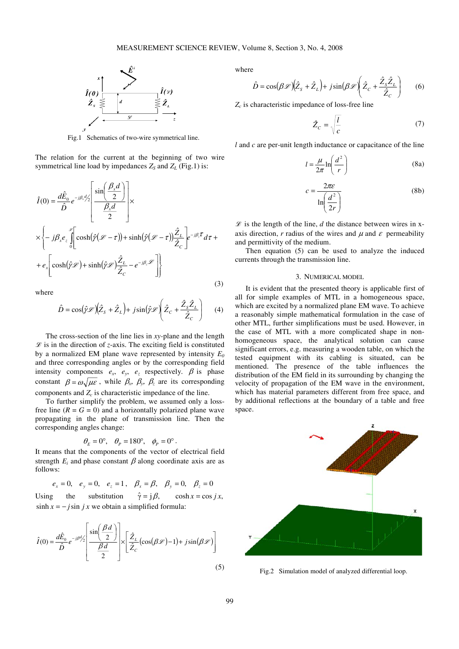

Fig.1 Schematics of two-wire symmetrical line.

The relation for the current at the beginning of two wire symmetrical line load by impedances  $Z_s$  and  $Z_L$  (Fig.1) is:

$$
\hat{I}(0) = \frac{d\hat{E}_0}{\hat{D}} e^{-j\beta_x d/2} \left[ \frac{\sin\left(\frac{\beta_x d}{2}\right)}{\frac{\beta_x d}{2}} \right] \times \times \left\{ -j\beta_x e_z \int_0^{\infty} \left[ \cosh(\hat{\gamma}(\mathcal{L} - \tau)) + \sinh(\hat{\gamma}(\mathcal{L} - \tau)) \frac{\hat{Z}_L}{\hat{Z}_C} \right] e^{-j\beta_z \tau} d\tau + \right.
$$
\n
$$
+ e_x \left[ \cosh(\hat{\gamma}\mathcal{L}) + \sinh(\hat{\gamma}\mathcal{L}) \frac{\hat{Z}_L}{\hat{Z}_C} - e^{-j\beta_z \mathcal{L}} \right] \right\}
$$
\n(3)

where

$$
\hat{D} = \cos(\hat{\gamma} \mathcal{L}) \left( \hat{Z}_s + \hat{Z}_L \right) + j \sin(\hat{\gamma} \mathcal{L}) \left( \hat{Z}_c + \frac{\hat{Z}_s \hat{Z}_L}{\hat{Z}_c} \right) \tag{4}
$$

The cross-section of the line lies in *xy-*plane and the length  $\mathscr E$  is in the direction of *z*-axis. The exciting field is constituted by a normalized EM plane wave represented by intensity  $E_0$ and three corresponding angles or by the corresponding field intensity components  $e_x$ ,  $e_y$ ,  $e_z$  respectively.  $\beta$  is phase constant  $\beta = \omega \sqrt{\mu \varepsilon}$ , while  $\beta_x$ ,  $\beta_y$ ,  $\beta_z$  are its corresponding components and  $Z_c$  is characteristic impedance of the line.

To further simplify the problem, we assumed only a lossfree line  $(R = G = 0)$  and a horizontally polarized plane wave propagating in the plane of transmission line. Then the corresponding angles change:

$$
\theta_{\scriptscriptstyle E} = 0^{\circ}, \quad \theta_{\scriptscriptstyle P} = 180^{\circ}, \quad \phi_{\scriptscriptstyle P} = 0^{\circ} \,.
$$

It means that the components of the vector of electrical field strength  $E_i$  and phase constant  $\beta$  along coordinate axis are as follows:

$$
e_x = 0
$$
,  $e_y = 0$ ,  $e_z = 1$ ,  $\beta_x = \beta$ ,  $\beta_y = 0$ ,  $\beta_z = 0$ 

Using the substitution  $\hat{\gamma} = j\beta$ ,  $\cosh x = \cos jx$ ,  $\sinh x = -j \sin jx$  we obtain a simplified formula:

$$
\hat{I}(0) = \frac{d\hat{E}_0}{\hat{D}} e^{-j\beta d/2} \left[ \frac{\sin\left(\frac{\beta d}{2}\right)}{\frac{\beta d}{2}} \right] \times \left[ \frac{\hat{Z}_L}{\hat{Z}_C} (\cos(\beta \mathcal{L}) - 1) + j\sin(\beta \mathcal{L}) \right]
$$
\n(5)

where

$$
\hat{D} = \cos(\beta \mathcal{L}) (\hat{Z}_s + \hat{Z}_L) + j \sin(\beta \mathcal{L}) (\hat{Z}_c + \frac{\hat{Z}_s \hat{Z}_L}{\hat{Z}_c})
$$
(6)

*Zc* is characteristic impedance of loss-free line

$$
\hat{Z}_c = \sqrt{\frac{l}{c}}\tag{7}
$$

*l* and *c* are per-unit length inductance or capacitance of the line

$$
l = \frac{\mu}{2\pi} \ln \left( \frac{d^2}{r} \right) \tag{8a}
$$

$$
c = \frac{2\pi\varepsilon}{\ln\left(\frac{d^2}{2r}\right)}\tag{8b}
$$

 $\mathscr{L}$  is the length of the line,  $d$  the distance between wires in xaxis direction, *r* radius of the wires and  $\mu$  and  $\varepsilon$  permeability and permittivity of the medium.

Then equation (5) can be used to analyze the induced currents through the transmission line.

# 3. NUMERICAL MODEL

It is evident that the presented theory is applicable first of all for simple examples of MTL in a homogeneous space, which are excited by a normalized plane EM wave. To achieve a reasonably simple mathematical formulation in the case of other MTL, further simplifications must be used. However, in the case of MTL with a more complicated shape in nonhomogeneous space, the analytical solution can cause significant errors, e.g. measuring a wooden table, on which the tested equipment with its cabling is situated, can be mentioned. The presence of the table influences the distribution of the EM field in its surrounding by changing the velocity of propagation of the EM wave in the environment, which has material parameters different from free space, and by additional reflections at the boundary of a table and free space.



Fig.2 Simulation model of analyzed differential loop.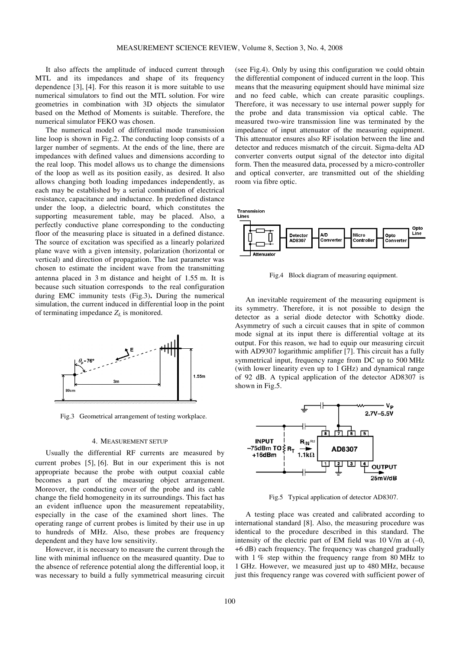It also affects the amplitude of induced current through MTL and its impedances and shape of its frequency dependence [3], [4]. For this reason it is more suitable to use numerical simulators to find out the MTL solution. For wire geometries in combination with 3D objects the simulator based on the Method of Moments is suitable. Therefore, the numerical simulator FEKO was chosen.

The numerical model of differential mode transmission line loop is shown in Fig.2. The conducting loop consists of a larger number of segments. At the ends of the line, there are impedances with defined values and dimensions according to the real loop. This model allows us to change the dimensions of the loop as well as its position easily, as desired. It also allows changing both loading impedances independently, as each may be established by a serial combination of electrical resistance, capacitance and inductance. In predefined distance under the loop, a dielectric board, which constitutes the supporting measurement table, may be placed. Also, a perfectly conductive plane corresponding to the conducting floor of the measuring place is situated in a defined distance. The source of excitation was specified as a linearly polarized plane wave with a given intensity, polarization (horizontal or vertical) and direction of propagation. The last parameter was chosen to estimate the incident wave from the transmitting antenna placed in 3 m distance and height of 1.55 m. It is because such situation corresponds to the real configuration during EMC immunity tests (Fig.3)**.** During the numerical simulation, the current induced in differential loop in the point of terminating impedance *ZL* is monitored.



Fig.3 Geometrical arrangement of testing workplace.

#### 4. MEASUREMENT SETUP

Usually the differential RF currents are measured by current probes [5], [6]. But in our experiment this is not appropriate because the probe with output coaxial cable becomes a part of the measuring object arrangement. Moreover, the conducting cover of the probe and its cable change the field homogeneity in its surroundings. This fact has an evident influence upon the measurement repeatability, especially in the case of the examined short lines. The operating range of current probes is limited by their use in up to hundreds of MHz. Also, these probes are frequency dependent and they have low sensitivity.

However, it is necessary to measure the current through the line with minimal influence on the measured quantity. Due to the absence of reference potential along the differential loop, it was necessary to build a fully symmetrical measuring circuit (see Fig.4). Only by using this configuration we could obtain the differential component of induced current in the loop. This means that the measuring equipment should have minimal size and no feed cable, which can create parasitic couplings. Therefore, it was necessary to use internal power supply for the probe and data transmission via optical cable. The measured two-wire transmission line was terminated by the impedance of input attenuator of the measuring equipment. This attenuator ensures also RF isolation between the line and detector and reduces mismatch of the circuit. Sigma-delta AD converter converts output signal of the detector into digital form. Then the measured data, processed by a micro-controller and optical converter, are transmitted out of the shielding room via fibre optic.



Fig.4 Block diagram of measuring equipment.

An inevitable requirement of the measuring equipment is its symmetry. Therefore, it is not possible to design the detector as a serial diode detector with Schottky diode. Asymmetry of such a circuit causes that in spite of common mode signal at its input there is differential voltage at its output. For this reason, we had to equip our measuring circuit with AD9307 logarithmic amplifier [7]. This circuit has a fully symmetrical input, frequency range from DC up to 500 MHz (with lower linearity even up to 1 GHz) and dynamical range of 92 dB. A typical application of the detector AD8307 is shown in Fig.5.



Fig.5 Typical application of detector AD8307.

A testing place was created and calibrated according to international standard [8]. Also, the measuring procedure was identical to the procedure described in this standard. The intensity of the electric part of EM field was 10 V/m at (–0, +6 dB) each frequency. The frequency was changed gradually with 1 % step within the frequency range from 80 MHz to 1 GHz. However, we measured just up to 480 MHz, because just this frequency range was covered with sufficient power of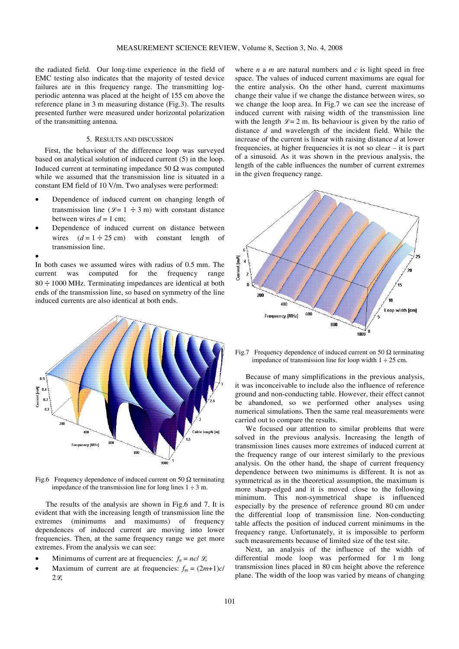the radiated field. Our long-time experience in the field of EMC testing also indicates that the majority of tested device failures are in this frequency range. The transmitting logperiodic antenna was placed at the height of 155 cm above the reference plane in 3 m measuring distance (Fig.3). The results presented further were measured under horizontal polarization of the transmitting antenna.

# 5. RESULTS AND DISCUSSION

 First, the behaviour of the difference loop was surveyed based on analytical solution of induced current (5) in the loop. Induced current at terminating impedance  $50 \Omega$  was computed while we assumed that the transmission line is situated in a constant EM field of 10 V/m. Two analyses were performed:

- Dependence of induced current on changing length of transmission line ( $\mathcal{L} = 1 \div 3$  m) with constant distance between wires  $d = 1$  cm;
- Dependence of induced current on distance between wires  $(d = 1 \div 25$  cm) with constant length of transmission line.

• In both cases we assumed wires with radius of 0.5 mm. The current was computed for the frequency range 80 ÷ 1000 MHz. Terminating impedances are identical at both ends of the transmission line, so based on symmetry of the line induced currents are also identical at both ends.



Fig.6 Frequency dependence of induced current on 50  $\Omega$  terminating impedance of the transmission line for long lines  $1 \div 3$  m.

The results of the analysis are shown in Fig.6 and 7. It is evident that with the increasing length of transmission line the extremes (minimums and maximums) of frequency dependences of induced current are moving into lower frequencies. Then, at the same frequency range we get more extremes. From the analysis we can see:

- Minimums of current are at frequencies:  $f_n = ncl \mathcal{L}$ ,
- Maximum of current are at frequencies:  $f_m = (2m+1)c$  $2\mathcal{L}$

where  $n \times n$  are natural numbers and  $c$  is light speed in free space. The values of induced current maximums are equal for the entire analysis. On the other hand, current maximums change their value if we change the distance between wires, so we change the loop area. In Fig.7 we can see the increase of induced current with raising width of the transmission line with the length  $\mathcal{L} = 2$  m. Its behaviour is given by the ratio of distance *d* and wavelength of the incident field. While the increase of the current is linear with raising distance *d* at lower frequencies, at higher frequencies it is not so clear – it is part of a sinusoid. As it was shown in the previous analysis, the length of the cable influences the number of current extremes in the given frequency range.



Fig.7 Frequency dependence of induced current on 50  $\Omega$  terminating impedance of transmission line for loop width  $1 \div 25$  cm.

Because of many simplifications in the previous analysis, it was inconceivable to include also the influence of reference ground and non-conducting table. However, their effect cannot be abandoned, so we performed other analyses using numerical simulations. Then the same real measurements were carried out to compare the results.

We focused our attention to similar problems that were solved in the previous analysis. Increasing the length of transmission lines causes more extremes of induced current at the frequency range of our interest similarly to the previous analysis. On the other hand, the shape of current frequency dependence between two minimums is different. It is not as symmetrical as in the theoretical assumption, the maximum is more sharp-edged and it is moved close to the following minimum. This non-symmetrical shape is influenced especially by the presence of reference ground 80 cm under the differential loop of transmission line. Non-conducting table affects the position of induced current minimums in the frequency range. Unfortunately, it is impossible to perform such measurements because of limited size of the test site.

Next, an analysis of the influence of the width of differential mode loop was performed for 1 m long transmission lines placed in 80 cm height above the reference plane. The width of the loop was varied by means of changing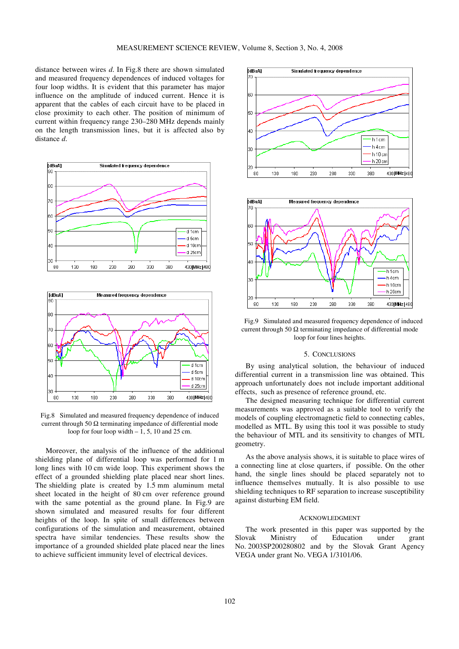distance between wires *d*. In Fig.8 there are shown simulated and measured frequency dependences of induced voltages for four loop widths. It is evident that this parameter has major influence on the amplitude of induced current. Hence it is apparent that the cables of each circuit have to be placed in close proximity to each other. The position of minimum of current within frequency range 230–280 MHz depends mainly on the length transmission lines, but it is affected also by distance *d*.





Fig.8 Simulated and measured frequency dependence of induced current through 50  $\Omega$  terminating impedance of differential mode loop for four loop width  $-1$ , 5, 10 and 25 cm.

Moreover, the analysis of the influence of the additional shielding plane of differential loop was performed for 1 m long lines with 10 cm wide loop. This experiment shows the effect of a grounded shielding plate placed near short lines. The shielding plate is created by 1.5 mm aluminum metal sheet located in the height of 80 cm over reference ground with the same potential as the ground plane. In Fig.9 are shown simulated and measured results for four different heights of the loop. In spite of small differences between configurations of the simulation and measurement, obtained spectra have similar tendencies. These results show the importance of a grounded shielded plate placed near the lines to achieve sufficient immunity level of electrical devices.





Fig.9 Simulated and measured frequency dependence of induced current through 50  $\Omega$  terminating impedance of differential mode loop for four lines heights.

## 5. CONCLUSIONS

By using analytical solution, the behaviour of induced differential current in a transmission line was obtained. This approach unfortunately does not include important additional effects, such as presence of reference ground, etc.

The designed measuring technique for differential current measurements was approved as a suitable tool to verify the models of coupling electromagnetic field to connecting cables, modelled as MTL. By using this tool it was possible to study the behaviour of MTL and its sensitivity to changes of MTL geometry.

As the above analysis shows, it is suitable to place wires of a connecting line at close quarters, if possible. On the other hand, the single lines should be placed separately not to influence themselves mutually. It is also possible to use shielding techniques to RF separation to increase susceptibility against disturbing EM field.

### ACKNOWLEDGMENT

The work presented in this paper was supported by the Slovak Ministry of Education under grant No. 2003SP200280802 and by the Slovak Grant Agency VEGA under grant No. VEGA 1/3101/06.